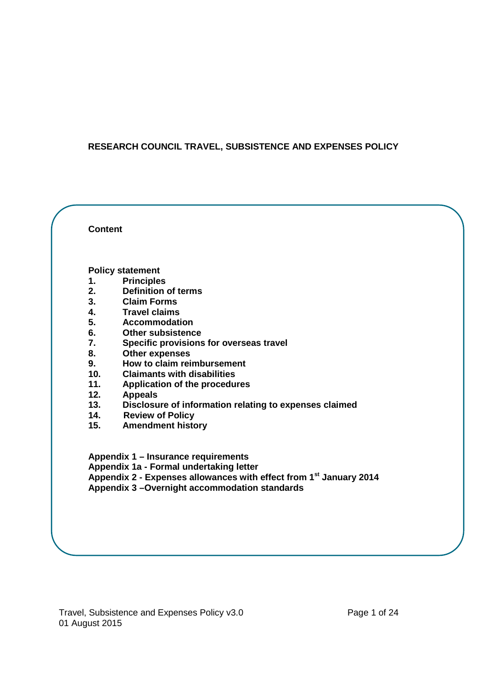## **RESEARCH COUNCIL TRAVEL, SUBSISTENCE AND EXPENSES POLICY**

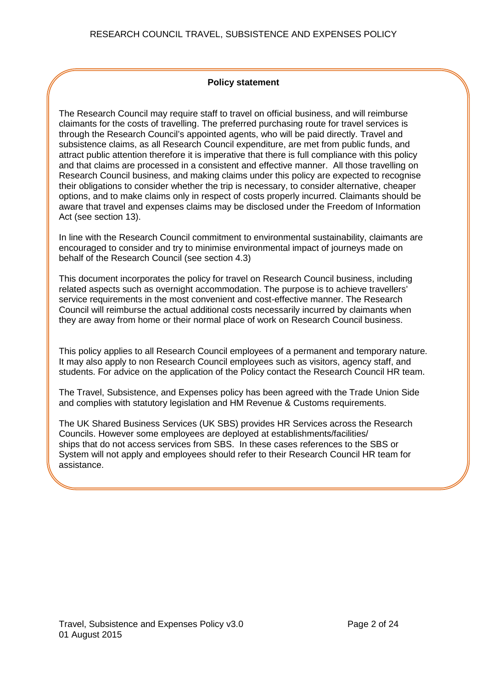## **Policy statement**

The Research Council may require staff to travel on official business, and will reimburse claimants for the costs of travelling. The preferred purchasing route for travel services is through the Research Council's appointed agents, who will be paid directly. Travel and subsistence claims, as all Research Council expenditure, are met from public funds, and attract public attention therefore it is imperative that there is full compliance with this policy and that claims are processed in a consistent and effective manner. All those travelling on Research Council business, and making claims under this policy are expected to recognise their obligations to consider whether the trip is necessary, to consider alternative, cheaper options, and to make claims only in respect of costs properly incurred. Claimants should be aware that travel and expenses claims may be disclosed under the Freedom of Information Act (see section 13).

In line with the Research Council commitment to environmental sustainability, claimants are encouraged to consider and try to minimise environmental impact of journeys made on behalf of the Research Council (see section 4.3)

This document incorporates the policy for travel on Research Council business, including related aspects such as overnight accommodation. The purpose is to achieve travellers' service requirements in the most convenient and cost-effective manner. The Research Council will reimburse the actual additional costs necessarily incurred by claimants when they are away from home or their normal place of work on Research Council business.

This policy applies to all Research Council employees of a permanent and temporary nature. It may also apply to non Research Council employees such as visitors, agency staff, and students. For advice on the application of the Policy contact the Research Council HR team.

The Travel, Subsistence, and Expenses policy has been agreed with the Trade Union Side and complies with statutory legislation and HM Revenue & Customs requirements.

The UK Shared Business Services (UK SBS) provides HR Services across the Research Councils. However some employees are deployed at establishments/facilities/ ships that do not access services from SBS. In these cases references to the SBS or System will not apply and employees should refer to their Research Council HR team for assistance.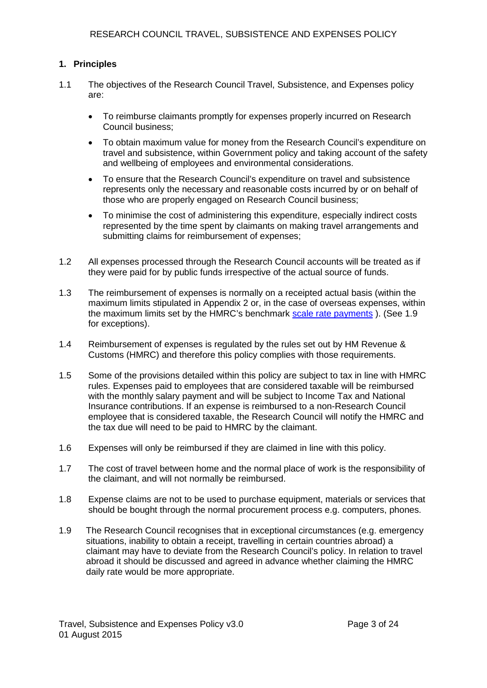## **1. Principles**

- 1.1 The objectives of the Research Council Travel, Subsistence, and Expenses policy are:
	- To reimburse claimants promptly for expenses properly incurred on Research Council business;
	- To obtain maximum value for money from the Research Council's expenditure on travel and subsistence, within Government policy and taking account of the safety and wellbeing of employees and environmental considerations.
	- To ensure that the Research Council's expenditure on travel and subsistence represents only the necessary and reasonable costs incurred by or on behalf of those who are properly engaged on Research Council business;
	- To minimise the cost of administering this expenditure, especially indirect costs represented by the time spent by claimants on making travel arrangements and submitting claims for reimbursement of expenses;
- 1.2 All expenses processed through the Research Council accounts will be treated as if they were paid for by public funds irrespective of the actual source of funds.
- 1.3 The reimbursement of expenses is normally on a receipted actual basis (within the maximum limits stipulated in Appendix 2 or, in the case of overseas expenses, within the maximum limits set by the HMRC's benchmark [scale rate payments](http://www.hmrc.gov.uk/employers/emp-income-scale-rates.htm) ). (See 1.9 for exceptions).
- 1.4 Reimbursement of expenses is regulated by the rules set out by HM Revenue & Customs (HMRC) and therefore this policy complies with those requirements.
- 1.5 Some of the provisions detailed within this policy are subject to tax in line with HMRC rules. Expenses paid to employees that are considered taxable will be reimbursed with the monthly salary payment and will be subject to Income Tax and National Insurance contributions. If an expense is reimbursed to a non-Research Council employee that is considered taxable, the Research Council will notify the HMRC and the tax due will need to be paid to HMRC by the claimant.
- 1.6 Expenses will only be reimbursed if they are claimed in line with this policy.
- 1.7 The cost of travel between home and the normal place of work is the responsibility of the claimant, and will not normally be reimbursed.
- 1.8 Expense claims are not to be used to purchase equipment, materials or services that should be bought through the normal procurement process e.g. computers, phones.
- 1.9 The Research Council recognises that in exceptional circumstances (e.g. emergency situations, inability to obtain a receipt, travelling in certain countries abroad) a claimant may have to deviate from the Research Council's policy. In relation to travel abroad it should be discussed and agreed in advance whether claiming the HMRC daily rate would be more appropriate.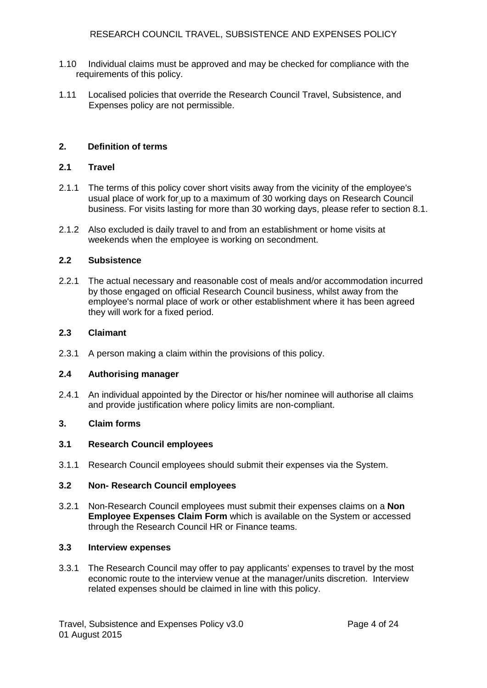- 1.10 Individual claims must be approved and may be checked for compliance with the requirements of this policy.
- 1.11 Localised policies that override the Research Council Travel, Subsistence, and Expenses policy are not permissible.

## **2. Definition of terms**

## **2.1 Travel**

- 2.1.1 The terms of this policy cover short visits away from the vicinity of the employee's usual place of work for up to a maximum of 30 working days on Research Council business. For visits lasting for more than 30 working days, please refer to section 8.1.
- 2.1.2 Also excluded is daily travel to and from an establishment or home visits at weekends when the employee is working on secondment.

#### **2.2 Subsistence**

2.2.1 The actual necessary and reasonable cost of meals and/or accommodation incurred by those engaged on official Research Council business, whilst away from the employee's normal place of work or other establishment where it has been agreed they will work for a fixed period.

#### **2.3 Claimant**

2.3.1 A person making a claim within the provisions of this policy.

#### **2.4 Authorising manager**

2.4.1 An individual appointed by the Director or his/her nominee will authorise all claims and provide justification where policy limits are non-compliant.

## **3. Claim forms**

## **3.1 Research Council employees**

3.1.1 Research Council employees should submit their expenses via the System.

#### **3.2 Non- Research Council employees**

3.2.1 Non-Research Council employees must submit their expenses claims on a **Non Employee Expenses Claim Form** which is available on the System or accessed through the Research Council HR or Finance teams.

#### **3.3 Interview expenses**

3.3.1 The Research Council may offer to pay applicants' expenses to travel by the most economic route to the interview venue at the manager/units discretion. Interview related expenses should be claimed in line with this policy.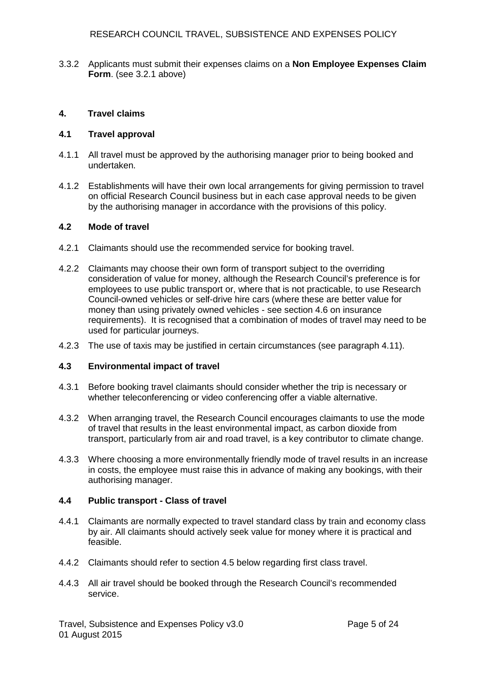3.3.2 Applicants must submit their expenses claims on a **Non Employee Expenses Claim Form**. (see 3.2.1 above)

## **4. Travel claims**

## **4.1 Travel approval**

- 4.1.1 All travel must be approved by the authorising manager prior to being booked and undertaken.
- 4.1.2 Establishments will have their own local arrangements for giving permission to travel on official Research Council business but in each case approval needs to be given by the authorising manager in accordance with the provisions of this policy.

## **4.2 Mode of travel**

- 4.2.1 Claimants should use the recommended service for booking travel.
- 4.2.2 Claimants may choose their own form of transport subject to the overriding consideration of value for money, although the Research Council's preference is for employees to use public transport or, where that is not practicable, to use Research Council-owned vehicles or self-drive hire cars (where these are better value for money than using privately owned vehicles - see section 4.6 on insurance requirements). It is recognised that a combination of modes of travel may need to be used for particular journeys.
- 4.2.3 The use of taxis may be justified in certain circumstances (see paragraph 4.11).

## **4.3 Environmental impact of travel**

- 4.3.1 Before booking travel claimants should consider whether the trip is necessary or whether teleconferencing or video conferencing offer a viable alternative.
- 4.3.2 When arranging travel, the Research Council encourages claimants to use the mode of travel that results in the least environmental impact, as carbon dioxide from transport, particularly from air and road travel, is a key contributor to climate change.
- 4.3.3 Where choosing a more environmentally friendly mode of travel results in an increase in costs, the employee must raise this in advance of making any bookings, with their authorising manager.

## **4.4 Public transport - Class of travel**

- 4.4.1 Claimants are normally expected to travel standard class by train and economy class by air. All claimants should actively seek value for money where it is practical and feasible.
- 4.4.2 Claimants should refer to section 4.5 below regarding first class travel.
- 4.4.3 All air travel should be booked through the Research Council's recommended service.

Travel, Subsistence and Expenses Policy v3.0 Page 5 of 24 01 August 2015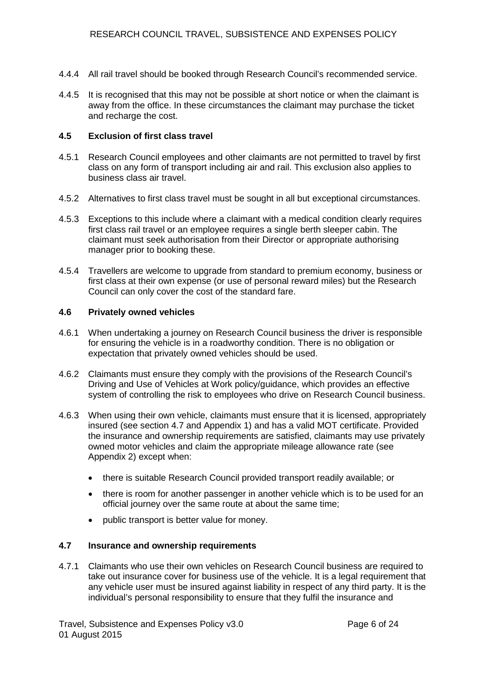- 4.4.4 All rail travel should be booked through Research Council's recommended service.
- 4.4.5 It is recognised that this may not be possible at short notice or when the claimant is away from the office. In these circumstances the claimant may purchase the ticket and recharge the cost.

## **4.5 Exclusion of first class travel**

- 4.5.1 Research Council employees and other claimants are not permitted to travel by first class on any form of transport including air and rail. This exclusion also applies to business class air travel.
- 4.5.2 Alternatives to first class travel must be sought in all but exceptional circumstances.
- 4.5.3 Exceptions to this include where a claimant with a medical condition clearly requires first class rail travel or an employee requires a single berth sleeper cabin. The claimant must seek authorisation from their Director or appropriate authorising manager prior to booking these.
- 4.5.4 Travellers are welcome to upgrade from standard to premium economy, business or first class at their own expense (or use of personal reward miles) but the Research Council can only cover the cost of the standard fare.

## **4.6 Privately owned vehicles**

- 4.6.1 When undertaking a journey on Research Council business the driver is responsible for ensuring the vehicle is in a roadworthy condition. There is no obligation or expectation that privately owned vehicles should be used.
- 4.6.2 Claimants must ensure they comply with the provisions of the Research Council's Driving and Use of Vehicles at Work policy/guidance, which provides an effective system of controlling the risk to employees who drive on Research Council business.
- 4.6.3 When using their own vehicle, claimants must ensure that it is licensed, appropriately insured (see section 4.7 and Appendix 1) and has a valid MOT certificate. Provided the insurance and ownership requirements are satisfied, claimants may use privately owned motor vehicles and claim the appropriate mileage allowance rate (see Appendix 2) except when:
	- there is suitable Research Council provided transport readily available; or
	- there is room for another passenger in another vehicle which is to be used for an official journey over the same route at about the same time;
	- public transport is better value for money.

## **4.7 Insurance and ownership requirements**

4.7.1 Claimants who use their own vehicles on Research Council business are required to take out insurance cover for business use of the vehicle. It is a legal requirement that any vehicle user must be insured against liability in respect of any third party. It is the individual's personal responsibility to ensure that they fulfil the insurance and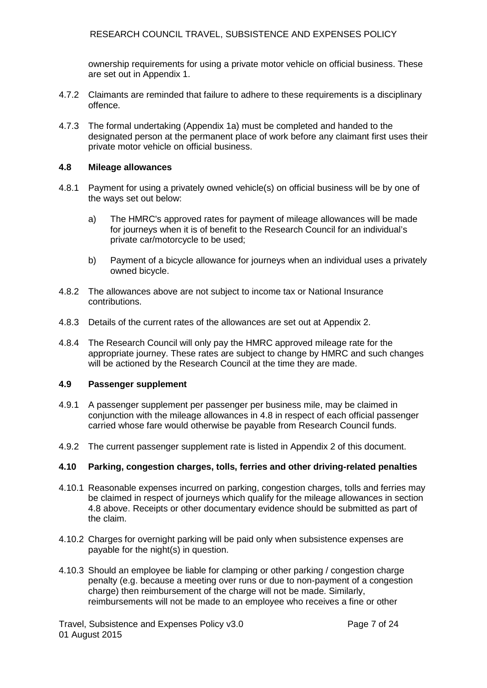ownership requirements for using a private motor vehicle on official business. These are set out in Appendix 1.

- 4.7.2 Claimants are reminded that failure to adhere to these requirements is a disciplinary offence.
- 4.7.3 The formal undertaking (Appendix 1a) must be completed and handed to the designated person at the permanent place of work before any claimant first uses their private motor vehicle on official business.

### **4.8 Mileage allowances**

- 4.8.1 Payment for using a privately owned vehicle(s) on official business will be by one of the ways set out below:
	- a) The HMRC's approved rates for payment of mileage allowances will be made for journeys when it is of benefit to the Research Council for an individual's private car/motorcycle to be used;
	- b) Payment of a bicycle allowance for journeys when an individual uses a privately owned bicycle.
- 4.8.2 The allowances above are not subject to income tax or National Insurance contributions.
- 4.8.3 Details of the current rates of the allowances are set out at Appendix 2.
- 4.8.4 The Research Council will only pay the HMRC approved mileage rate for the appropriate journey. These rates are subject to change by HMRC and such changes will be actioned by the Research Council at the time they are made.

#### **4.9 Passenger supplement**

- 4.9.1 A passenger supplement per passenger per business mile, may be claimed in conjunction with the mileage allowances in 4.8 in respect of each official passenger carried whose fare would otherwise be payable from Research Council funds.
- 4.9.2 The current passenger supplement rate is listed in Appendix 2 of this document.

## **4.10 Parking, congestion charges, tolls, ferries and other driving-related penalties**

- 4.10.1 Reasonable expenses incurred on parking, congestion charges, tolls and ferries may be claimed in respect of journeys which qualify for the mileage allowances in section 4.8 above. Receipts or other documentary evidence should be submitted as part of the claim.
- 4.10.2 Charges for overnight parking will be paid only when subsistence expenses are payable for the night(s) in question.
- 4.10.3 Should an employee be liable for clamping or other parking / congestion charge penalty (e.g. because a meeting over runs or due to non-payment of a congestion charge) then reimbursement of the charge will not be made. Similarly, reimbursements will not be made to an employee who receives a fine or other

Travel, Subsistence and Expenses Policy v3.0 Page 7 of 24 01 August 2015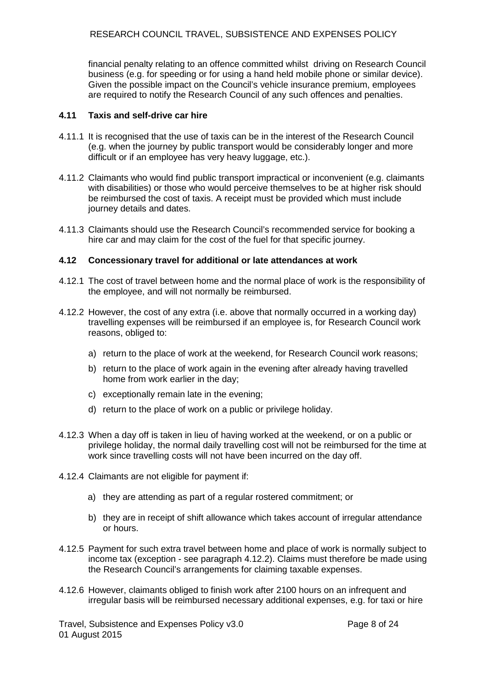financial penalty relating to an offence committed whilst driving on Research Council business (e.g. for speeding or for using a hand held mobile phone or similar device). Given the possible impact on the Council's vehicle insurance premium, employees are required to notify the Research Council of any such offences and penalties.

## **4.11 Taxis and self-drive car hire**

- 4.11.1 It is recognised that the use of taxis can be in the interest of the Research Council (e.g. when the journey by public transport would be considerably longer and more difficult or if an employee has very heavy luggage, etc.).
- 4.11.2 Claimants who would find public transport impractical or inconvenient (e.g. claimants with disabilities) or those who would perceive themselves to be at higher risk should be reimbursed the cost of taxis. A receipt must be provided which must include journey details and dates.
- 4.11.3 Claimants should use the Research Council's recommended service for booking a hire car and may claim for the cost of the fuel for that specific journey.

#### **4.12 Concessionary travel for additional or late attendances at work**

- 4.12.1 The cost of travel between home and the normal place of work is the responsibility of the employee, and will not normally be reimbursed.
- 4.12.2 However, the cost of any extra (i.e. above that normally occurred in a working day) travelling expenses will be reimbursed if an employee is, for Research Council work reasons, obliged to:
	- a) return to the place of work at the weekend, for Research Council work reasons;
	- b) return to the place of work again in the evening after already having travelled home from work earlier in the day;
	- c) exceptionally remain late in the evening;
	- d) return to the place of work on a public or privilege holiday.
- 4.12.3 When a day off is taken in lieu of having worked at the weekend, or on a public or privilege holiday, the normal daily travelling cost will not be reimbursed for the time at work since travelling costs will not have been incurred on the day off.
- 4.12.4 Claimants are not eligible for payment if:
	- a) they are attending as part of a regular rostered commitment; or
	- b) they are in receipt of shift allowance which takes account of irregular attendance or hours.
- 4.12.5 Payment for such extra travel between home and place of work is normally subject to income tax (exception - see paragraph 4.12.2). Claims must therefore be made using the Research Council's arrangements for claiming taxable expenses.
- 4.12.6 However, claimants obliged to finish work after 2100 hours on an infrequent and irregular basis will be reimbursed necessary additional expenses, e.g. for taxi or hire

Travel, Subsistence and Expenses Policy v3.0 Page 8 of 24 01 August 2015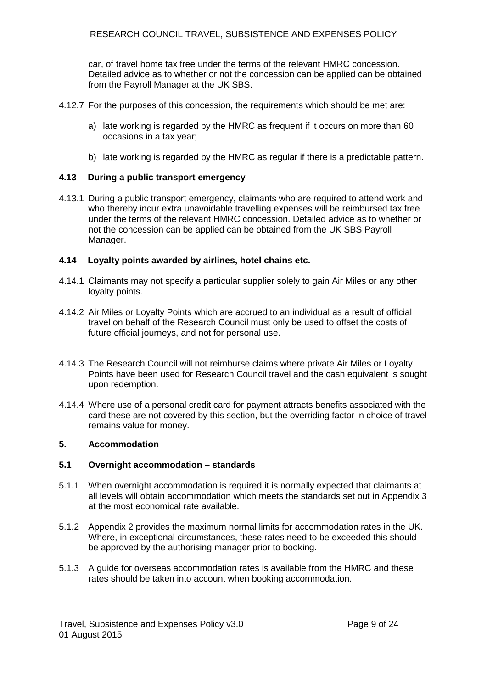car, of travel home tax free under the terms of the relevant HMRC concession. Detailed advice as to whether or not the concession can be applied can be obtained from the Payroll Manager at the UK SBS.

- 4.12.7 For the purposes of this concession, the requirements which should be met are:
	- a) late working is regarded by the HMRC as frequent if it occurs on more than 60 occasions in a tax year;
	- b) late working is regarded by the HMRC as regular if there is a predictable pattern.

## **4.13 During a public transport emergency**

4.13.1 During a public transport emergency, claimants who are required to attend work and who thereby incur extra unavoidable travelling expenses will be reimbursed tax free under the terms of the relevant HMRC concession. Detailed advice as to whether or not the concession can be applied can be obtained from the UK SBS Payroll Manager.

#### **4.14 Loyalty points awarded by airlines, hotel chains etc.**

- 4.14.1 Claimants may not specify a particular supplier solely to gain Air Miles or any other loyalty points.
- 4.14.2 Air Miles or Loyalty Points which are accrued to an individual as a result of official travel on behalf of the Research Council must only be used to offset the costs of future official journeys, and not for personal use.
- 4.14.3 The Research Council will not reimburse claims where private Air Miles or Loyalty Points have been used for Research Council travel and the cash equivalent is sought upon redemption.
- 4.14.4 Where use of a personal credit card for payment attracts benefits associated with the card these are not covered by this section, but the overriding factor in choice of travel remains value for money.

### **5. Accommodation**

## **5.1 Overnight accommodation – standards**

- 5.1.1 When overnight accommodation is required it is normally expected that claimants at all levels will obtain accommodation which meets the standards set out in Appendix 3 at the most economical rate available.
- 5.1.2 Appendix 2 provides the maximum normal limits for accommodation rates in the UK. Where, in exceptional circumstances, these rates need to be exceeded this should be approved by the authorising manager prior to booking.
- 5.1.3 A guide for overseas accommodation rates is available from the HMRC and these rates should be taken into account when booking accommodation.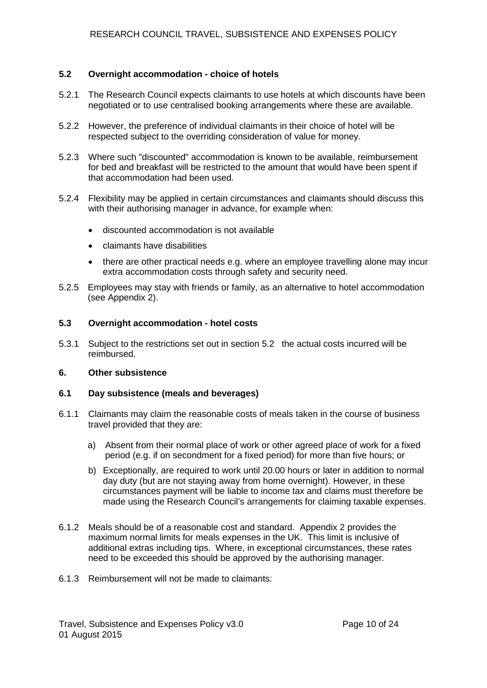## **5.2 Overnight accommodation - choice of hotels**

- 5.2.1 The Research Council expects claimants to use hotels at which discounts have been negotiated or to use centralised booking arrangements where these are available.
- 5.2.2 However, the preference of individual claimants in their choice of hotel will be respected subject to the overriding consideration of value for money.
- 5.2.3 Where such "discounted" accommodation is known to be available, reimbursement for bed and breakfast will be restricted to the amount that would have been spent if that accommodation had been used.
- 5.2.4 Flexibility may be applied in certain circumstances and claimants should discuss this with their authorising manager in advance, for example when:
	- discounted accommodation is not available
	- claimants have disabilities
	- there are other practical needs e.g. where an employee travelling alone may incur extra accommodation costs through safety and security need.
- 5.2.5 Employees may stay with friends or family, as an alternative to hotel accommodation (see Appendix 2).

#### **5.3 Overnight accommodation - hotel costs**

5.3.1 Subject to the restrictions set out in section 5.2 the actual costs incurred will be reimbursed.

#### **6. Other subsistence**

## **6.1 Day subsistence (meals and beverages)**

- 6.1.1 Claimants may claim the reasonable costs of meals taken in the course of business travel provided that they are:
	- a) Absent from their normal place of work or other agreed place of work for a fixed period (e.g. if on secondment for a fixed period) for more than five hours; or
	- b) Exceptionally, are required to work until 20.00 hours or later in addition to normal day duty (but are not staying away from home overnight). However, in these circumstances payment will be liable to income tax and claims must therefore be made using the Research Council's arrangements for claiming taxable expenses.
- 6.1.2 Meals should be of a reasonable cost and standard. Appendix 2 provides the maximum normal limits for meals expenses in the UK. This limit is inclusive of additional extras including tips. Where, in exceptional circumstances, these rates need to be exceeded this should be approved by the authorising manager.
- 6.1.3 Reimbursement will not be made to claimants: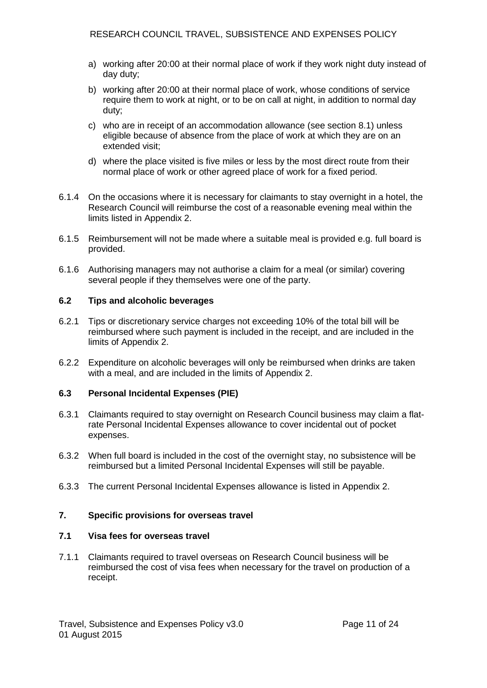- a) working after 20:00 at their normal place of work if they work night duty instead of day duty;
- b) working after 20:00 at their normal place of work, whose conditions of service require them to work at night, or to be on call at night, in addition to normal day duty;
- c) who are in receipt of an accommodation allowance (see section 8.1) unless eligible because of absence from the place of work at which they are on an extended visit;
- d) where the place visited is five miles or less by the most direct route from their normal place of work or other agreed place of work for a fixed period.
- 6.1.4 On the occasions where it is necessary for claimants to stay overnight in a hotel, the Research Council will reimburse the cost of a reasonable evening meal within the limits listed in Appendix 2.
- 6.1.5 Reimbursement will not be made where a suitable meal is provided e.g. full board is provided.
- 6.1.6 Authorising managers may not authorise a claim for a meal (or similar) covering several people if they themselves were one of the party.

## **6.2 Tips and alcoholic beverages**

- 6.2.1 Tips or discretionary service charges not exceeding 10% of the total bill will be reimbursed where such payment is included in the receipt, and are included in the limits of Appendix 2.
- 6.2.2 Expenditure on alcoholic beverages will only be reimbursed when drinks are taken with a meal, and are included in the limits of Appendix 2.

## **6.3 Personal Incidental Expenses (PIE)**

- 6.3.1 Claimants required to stay overnight on Research Council business may claim a flatrate Personal Incidental Expenses allowance to cover incidental out of pocket expenses.
- 6.3.2 When full board is included in the cost of the overnight stay, no subsistence will be reimbursed but a limited Personal Incidental Expenses will still be payable.
- 6.3.3 The current Personal Incidental Expenses allowance is listed in Appendix 2.

## **7. Specific provisions for overseas travel**

## **7.1 Visa fees for overseas travel**

7.1.1 Claimants required to travel overseas on Research Council business will be reimbursed the cost of visa fees when necessary for the travel on production of a receipt.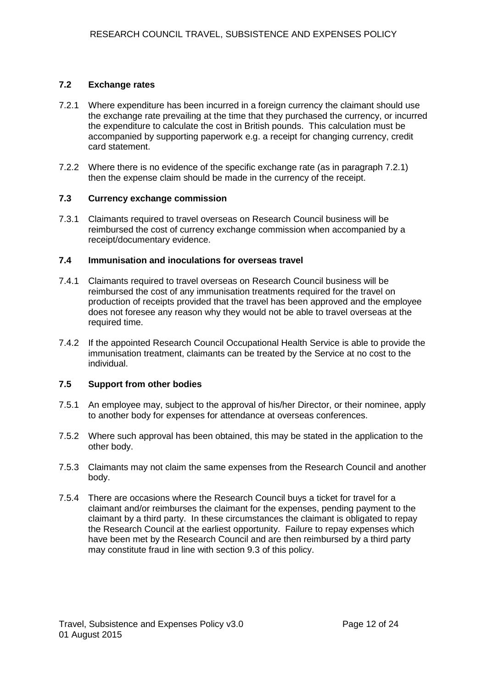## **7.2 Exchange rates**

- 7.2.1 Where expenditure has been incurred in a foreign currency the claimant should use the exchange rate prevailing at the time that they purchased the currency, or incurred the expenditure to calculate the cost in British pounds. This calculation must be accompanied by supporting paperwork e.g. a receipt for changing currency, credit card statement.
- 7.2.2 Where there is no evidence of the specific exchange rate (as in paragraph 7.2.1) then the expense claim should be made in the currency of the receipt.

## **7.3 Currency exchange commission**

7.3.1 Claimants required to travel overseas on Research Council business will be reimbursed the cost of currency exchange commission when accompanied by a receipt/documentary evidence.

### **7.4 Immunisation and inoculations for overseas travel**

- 7.4.1 Claimants required to travel overseas on Research Council business will be reimbursed the cost of any immunisation treatments required for the travel on production of receipts provided that the travel has been approved and the employee does not foresee any reason why they would not be able to travel overseas at the required time.
- 7.4.2 If the appointed Research Council Occupational Health Service is able to provide the immunisation treatment, claimants can be treated by the Service at no cost to the individual.

## **7.5 Support from other bodies**

- 7.5.1 An employee may, subject to the approval of his/her Director, or their nominee, apply to another body for expenses for attendance at overseas conferences.
- 7.5.2 Where such approval has been obtained, this may be stated in the application to the other body.
- 7.5.3 Claimants may not claim the same expenses from the Research Council and another body.
- 7.5.4 There are occasions where the Research Council buys a ticket for travel for a claimant and/or reimburses the claimant for the expenses, pending payment to the claimant by a third party. In these circumstances the claimant is obligated to repay the Research Council at the earliest opportunity. Failure to repay expenses which have been met by the Research Council and are then reimbursed by a third party may constitute fraud in line with section 9.3 of this policy.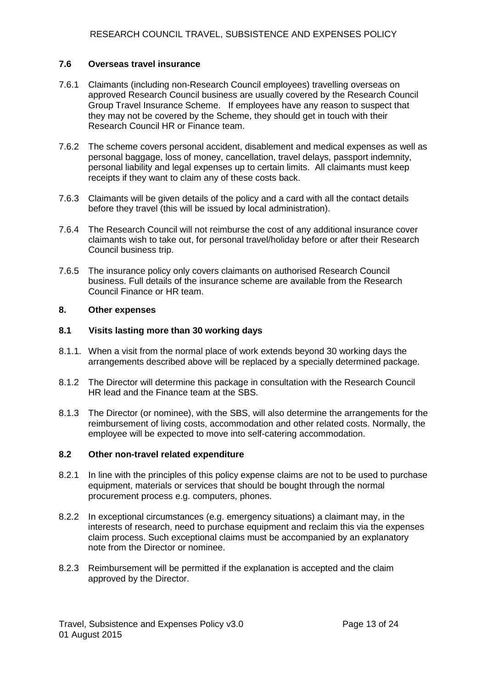## **7.6 Overseas travel insurance**

- 7.6.1 Claimants (including non-Research Council employees) travelling overseas on approved Research Council business are usually covered by the Research Council Group Travel Insurance Scheme. If employees have any reason to suspect that they may not be covered by the Scheme, they should get in touch with their Research Council HR or Finance team.
- 7.6.2 The scheme covers personal accident, disablement and medical expenses as well as personal baggage, loss of money, cancellation, travel delays, passport indemnity, personal liability and legal expenses up to certain limits. All claimants must keep receipts if they want to claim any of these costs back.
- 7.6.3 Claimants will be given details of the policy and a card with all the contact details before they travel (this will be issued by local administration).
- 7.6.4 The Research Council will not reimburse the cost of any additional insurance cover claimants wish to take out, for personal travel/holiday before or after their Research Council business trip.
- 7.6.5 The insurance policy only covers claimants on authorised Research Council business. Full details of the insurance scheme are available from the Research Council Finance or HR team.

#### **8. Other expenses**

#### **8.1 Visits lasting more than 30 working days**

- 8.1.1. When a visit from the normal place of work extends beyond 30 working days the arrangements described above will be replaced by a specially determined package.
- 8.1.2 The Director will determine this package in consultation with the Research Council HR lead and the Finance team at the SBS.
- 8.1.3 The Director (or nominee), with the SBS, will also determine the arrangements for the reimbursement of living costs, accommodation and other related costs. Normally, the employee will be expected to move into self-catering accommodation.

### **8.2 Other non-travel related expenditure**

- 8.2.1 In line with the principles of this policy expense claims are not to be used to purchase equipment, materials or services that should be bought through the normal procurement process e.g. computers, phones.
- 8.2.2 In exceptional circumstances (e.g. emergency situations) a claimant may, in the interests of research, need to purchase equipment and reclaim this via the expenses claim process. Such exceptional claims must be accompanied by an explanatory note from the Director or nominee.
- 8.2.3 Reimbursement will be permitted if the explanation is accepted and the claim approved by the Director.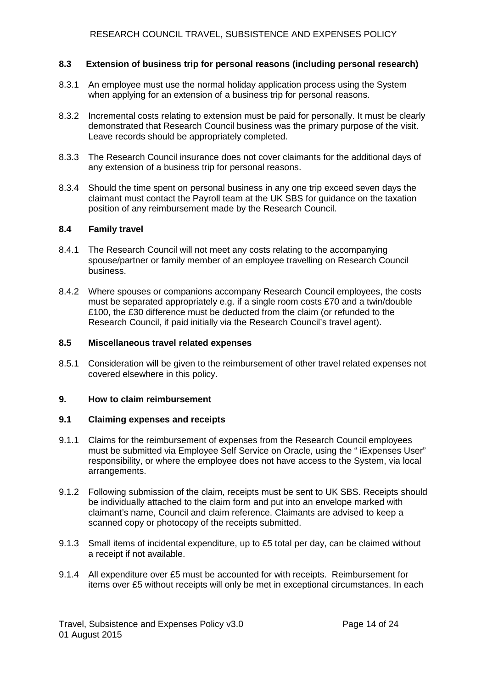## **8.3 Extension of business trip for personal reasons (including personal research)**

- 8.3.1 An employee must use the normal holiday application process using the System when applying for an extension of a business trip for personal reasons.
- 8.3.2 Incremental costs relating to extension must be paid for personally. It must be clearly demonstrated that Research Council business was the primary purpose of the visit. Leave records should be appropriately completed.
- 8.3.3 The Research Council insurance does not cover claimants for the additional days of any extension of a business trip for personal reasons.
- 8.3.4 Should the time spent on personal business in any one trip exceed seven days the claimant must contact the Payroll team at the UK SBS for guidance on the taxation position of any reimbursement made by the Research Council.

### **8.4 Family travel**

- 8.4.1 The Research Council will not meet any costs relating to the accompanying spouse/partner or family member of an employee travelling on Research Council business.
- 8.4.2 Where spouses or companions accompany Research Council employees, the costs must be separated appropriately e.g. if a single room costs £70 and a twin/double £100, the £30 difference must be deducted from the claim (or refunded to the Research Council, if paid initially via the Research Council's travel agent).

### **8.5 Miscellaneous travel related expenses**

8.5.1 Consideration will be given to the reimbursement of other travel related expenses not covered elsewhere in this policy.

## **9. How to claim reimbursement**

## **9.1 Claiming expenses and receipts**

- 9.1.1 Claims for the reimbursement of expenses from the Research Council employees must be submitted via Employee Self Service on Oracle, using the " iExpenses User" responsibility, or where the employee does not have access to the System, via local arrangements.
- 9.1.2 Following submission of the claim, receipts must be sent to UK SBS. Receipts should be individually attached to the claim form and put into an envelope marked with claimant's name, Council and claim reference. Claimants are advised to keep a scanned copy or photocopy of the receipts submitted.
- 9.1.3 Small items of incidental expenditure, up to £5 total per day, can be claimed without a receipt if not available.
- 9.1.4 All expenditure over £5 must be accounted for with receipts. Reimbursement for items over £5 without receipts will only be met in exceptional circumstances. In each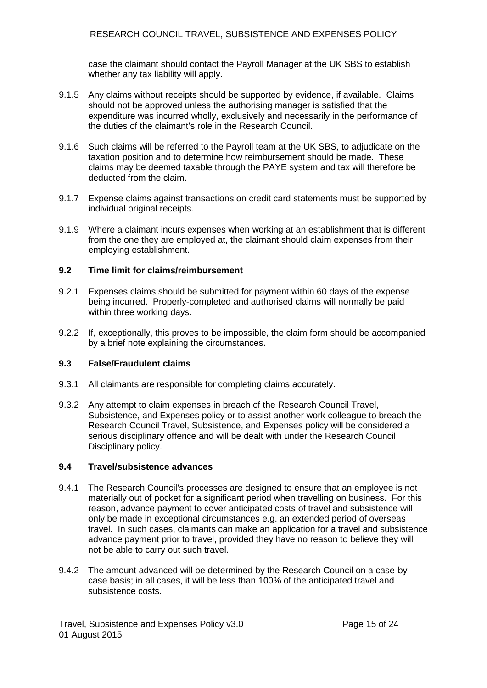case the claimant should contact the Payroll Manager at the UK SBS to establish whether any tax liability will apply.

- 9.1.5 Any claims without receipts should be supported by evidence, if available. Claims should not be approved unless the authorising manager is satisfied that the expenditure was incurred wholly, exclusively and necessarily in the performance of the duties of the claimant's role in the Research Council.
- 9.1.6 Such claims will be referred to the Payroll team at the UK SBS, to adjudicate on the taxation position and to determine how reimbursement should be made. These claims may be deemed taxable through the PAYE system and tax will therefore be deducted from the claim.
- 9.1.7 Expense claims against transactions on credit card statements must be supported by individual original receipts.
- 9.1.9 Where a claimant incurs expenses when working at an establishment that is different from the one they are employed at, the claimant should claim expenses from their employing establishment.

## **9.2 Time limit for claims/reimbursement**

- 9.2.1 Expenses claims should be submitted for payment within 60 days of the expense being incurred. Properly-completed and authorised claims will normally be paid within three working days.
- 9.2.2 If, exceptionally, this proves to be impossible, the claim form should be accompanied by a brief note explaining the circumstances.

## **9.3 False/Fraudulent claims**

- 9.3.1 All claimants are responsible for completing claims accurately.
- 9.3.2 Any attempt to claim expenses in breach of the Research Council Travel, Subsistence, and Expenses policy or to assist another work colleague to breach the Research Council Travel, Subsistence, and Expenses policy will be considered a serious disciplinary offence and will be dealt with under the Research Council Disciplinary policy.

## **9.4 Travel/subsistence advances**

- 9.4.1 The Research Council's processes are designed to ensure that an employee is not materially out of pocket for a significant period when travelling on business. For this reason, advance payment to cover anticipated costs of travel and subsistence will only be made in exceptional circumstances e.g. an extended period of overseas travel. In such cases, claimants can make an application for a travel and subsistence advance payment prior to travel, provided they have no reason to believe they will not be able to carry out such travel.
- 9.4.2 The amount advanced will be determined by the Research Council on a case-bycase basis; in all cases, it will be less than 100% of the anticipated travel and subsistence costs.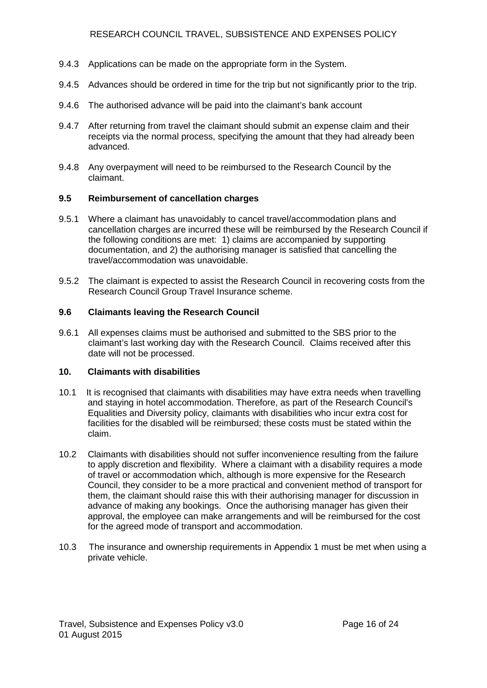- 9.4.3 Applications can be made on the appropriate form in the System.
- 9.4.5 Advances should be ordered in time for the trip but not significantly prior to the trip.
- 9.4.6 The authorised advance will be paid into the claimant's bank account
- 9.4.7 After returning from travel the claimant should submit an expense claim and their receipts via the normal process, specifying the amount that they had already been advanced.
- 9.4.8 Any overpayment will need to be reimbursed to the Research Council by the claimant.

## **9.5 Reimbursement of cancellation charges**

- 9.5.1 Where a claimant has unavoidably to cancel travel/accommodation plans and cancellation charges are incurred these will be reimbursed by the Research Council if the following conditions are met: 1) claims are accompanied by supporting documentation, and 2) the authorising manager is satisfied that cancelling the travel/accommodation was unavoidable.
- 9.5.2 The claimant is expected to assist the Research Council in recovering costs from the Research Council Group Travel Insurance scheme.

## **9.6 Claimants leaving the Research Council**

9.6.1 All expenses claims must be authorised and submitted to the SBS prior to the claimant's last working day with the Research Council. Claims received after this date will not be processed.

## **10. Claimants with disabilities**

- 10.1 It is recognised that claimants with disabilities may have extra needs when travelling and staying in hotel accommodation. Therefore, as part of the Research Council's Equalities and Diversity policy, claimants with disabilities who incur extra cost for facilities for the disabled will be reimbursed; these costs must be stated within the claim.
- 10.2 Claimants with disabilities should not suffer inconvenience resulting from the failure to apply discretion and flexibility. Where a claimant with a disability requires a mode of travel or accommodation which, although is more expensive for the Research Council, they consider to be a more practical and convenient method of transport for them, the claimant should raise this with their authorising manager for discussion in advance of making any bookings. Once the authorising manager has given their approval, the employee can make arrangements and will be reimbursed for the cost for the agreed mode of transport and accommodation.
- 10.3 The insurance and ownership requirements in Appendix 1 must be met when using a private vehicle.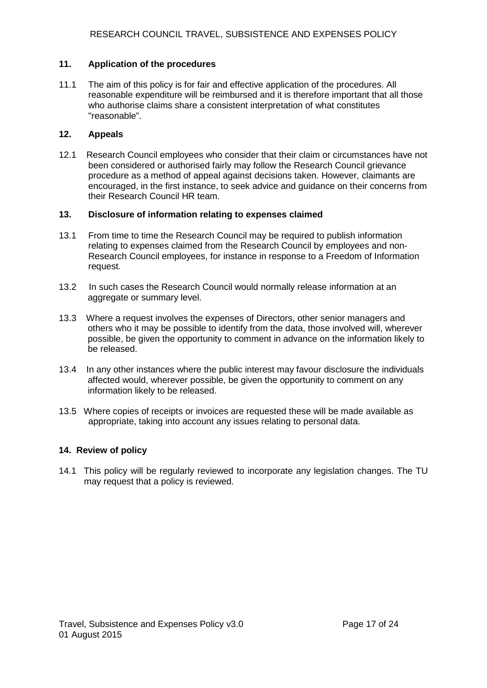## **11. Application of the procedures**

11.1 The aim of this policy is for fair and effective application of the procedures. All reasonable expenditure will be reimbursed and it is therefore important that all those who authorise claims share a consistent interpretation of what constitutes "reasonable".

## **12. Appeals**

12.1 Research Council employees who consider that their claim or circumstances have not been considered or authorised fairly may follow the Research Council grievance procedure as a method of appeal against decisions taken. However, claimants are encouraged, in the first instance, to seek advice and guidance on their concerns from their Research Council HR team.

## **13. Disclosure of information relating to expenses claimed**

- 13.1 From time to time the Research Council may be required to publish information relating to expenses claimed from the Research Council by employees and non-Research Council employees, for instance in response to a Freedom of Information request.
- 13.2 In such cases the Research Council would normally release information at an aggregate or summary level.
- 13.3 Where a request involves the expenses of Directors, other senior managers and others who it may be possible to identify from the data, those involved will, wherever possible, be given the opportunity to comment in advance on the information likely to be released.
- 13.4 In any other instances where the public interest may favour disclosure the individuals affected would, wherever possible, be given the opportunity to comment on any information likely to be released.
- 13.5 Where copies of receipts or invoices are requested these will be made available as appropriate, taking into account any issues relating to personal data.

## **14. Review of policy**

14.1 This policy will be regularly reviewed to incorporate any legislation changes. The TU may request that a policy is reviewed.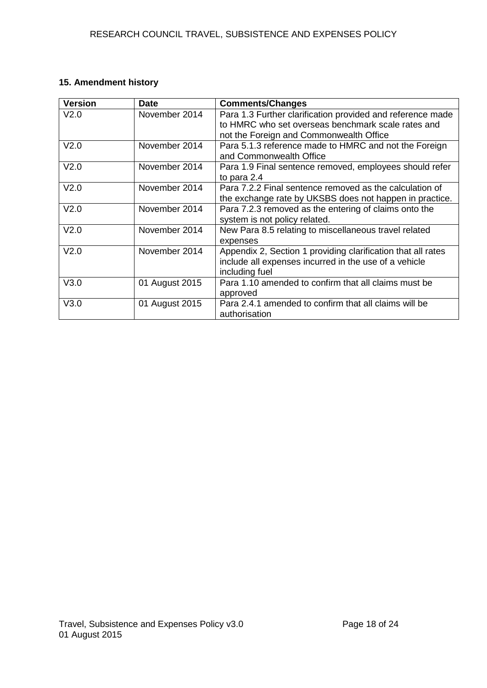# **15. Amendment history**

| <b>Version</b>   | <b>Date</b>    | <b>Comments/Changes</b>                                                                                                                                     |
|------------------|----------------|-------------------------------------------------------------------------------------------------------------------------------------------------------------|
| V <sub>2.0</sub> | November 2014  | Para 1.3 Further clarification provided and reference made<br>to HMRC who set overseas benchmark scale rates and<br>not the Foreign and Commonwealth Office |
| V <sub>2.0</sub> | November 2014  | Para 5.1.3 reference made to HMRC and not the Foreign<br>and Commonwealth Office                                                                            |
| V <sub>2.0</sub> | November 2014  | Para 1.9 Final sentence removed, employees should refer<br>to para 2.4                                                                                      |
| V <sub>2.0</sub> | November 2014  | Para 7.2.2 Final sentence removed as the calculation of<br>the exchange rate by UKSBS does not happen in practice.                                          |
| V <sub>2.0</sub> | November 2014  | Para 7.2.3 removed as the entering of claims onto the<br>system is not policy related.                                                                      |
| V <sub>2.0</sub> | November 2014  | New Para 8.5 relating to miscellaneous travel related<br>expenses                                                                                           |
| V <sub>2.0</sub> | November 2014  | Appendix 2, Section 1 providing clarification that all rates<br>include all expenses incurred in the use of a vehicle<br>including fuel                     |
| V3.0             | 01 August 2015 | Para 1.10 amended to confirm that all claims must be<br>approved                                                                                            |
| V3.0             | 01 August 2015 | Para 2.4.1 amended to confirm that all claims will be<br>authorisation                                                                                      |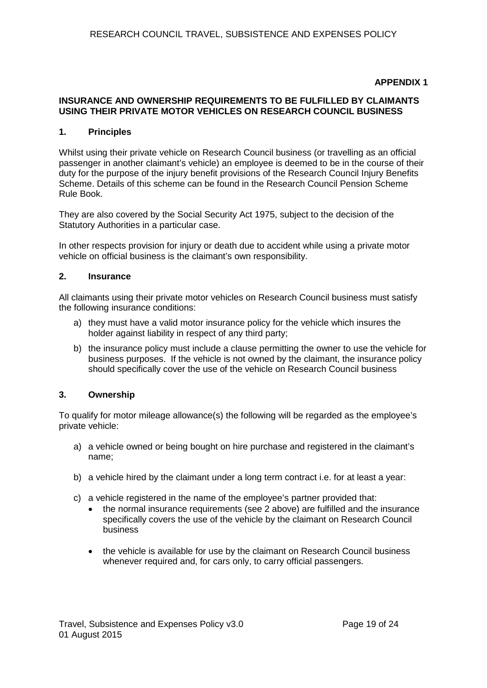## **APPENDIX 1**

## **INSURANCE AND OWNERSHIP REQUIREMENTS TO BE FULFILLED BY CLAIMANTS USING THEIR PRIVATE MOTOR VEHICLES ON RESEARCH COUNCIL BUSINESS**

## **1. Principles**

Whilst using their private vehicle on Research Council business (or travelling as an official passenger in another claimant's vehicle) an employee is deemed to be in the course of their duty for the purpose of the injury benefit provisions of the Research Council Injury Benefits Scheme. Details of this scheme can be found in the Research Council Pension Scheme Rule Book.

They are also covered by the Social Security Act 1975, subject to the decision of the Statutory Authorities in a particular case.

In other respects provision for injury or death due to accident while using a private motor vehicle on official business is the claimant's own responsibility.

### **2. Insurance**

All claimants using their private motor vehicles on Research Council business must satisfy the following insurance conditions:

- a) they must have a valid motor insurance policy for the vehicle which insures the holder against liability in respect of any third party;
- b) the insurance policy must include a clause permitting the owner to use the vehicle for business purposes. If the vehicle is not owned by the claimant, the insurance policy should specifically cover the use of the vehicle on Research Council business

## **3. Ownership**

To qualify for motor mileage allowance(s) the following will be regarded as the employee's private vehicle:

- a) a vehicle owned or being bought on hire purchase and registered in the claimant's name;
- b) a vehicle hired by the claimant under a long term contract i.e. for at least a year:
- c) a vehicle registered in the name of the employee's partner provided that:
	- the normal insurance requirements (see 2 above) are fulfilled and the insurance specifically covers the use of the vehicle by the claimant on Research Council business
	- the vehicle is available for use by the claimant on Research Council business whenever required and, for cars only, to carry official passengers.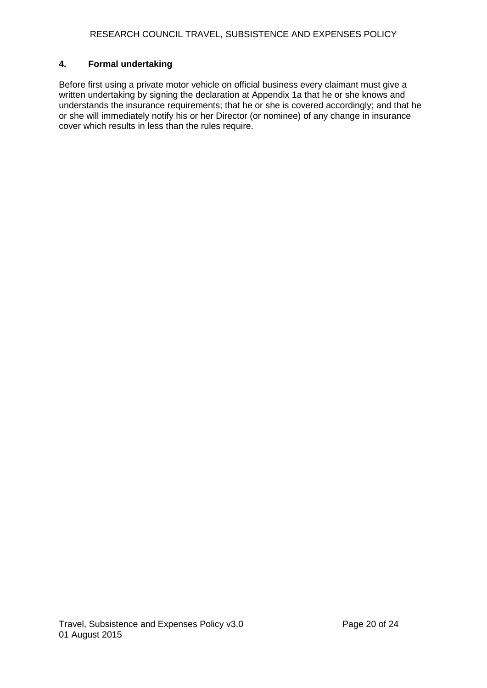## **4. Formal undertaking**

Before first using a private motor vehicle on official business every claimant must give a written undertaking by signing the declaration at Appendix 1a that he or she knows and understands the insurance requirements; that he or she is covered accordingly; and that he or she will immediately notify his or her Director (or nominee) of any change in insurance cover which results in less than the rules require.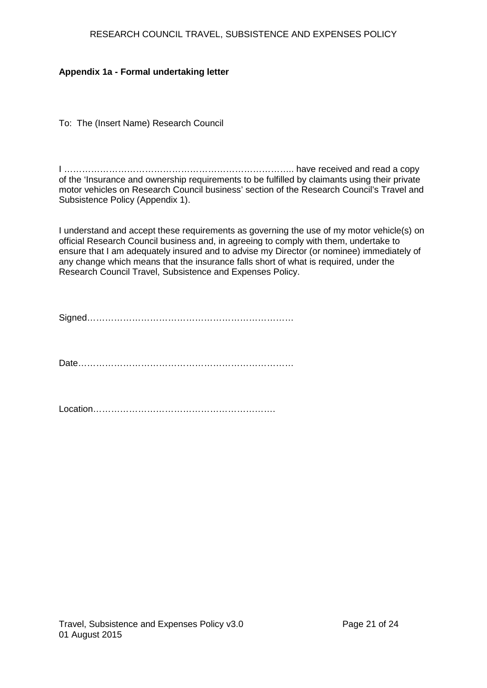## RESEARCH COUNCIL TRAVEL, SUBSISTENCE AND EXPENSES POLICY

## **Appendix 1a - Formal undertaking letter**

To: The (Insert Name) Research Council

I ………………………………………………………………….. have received and read a copy of the 'Insurance and ownership requirements to be fulfilled by claimants using their private motor vehicles on Research Council business' section of the Research Council's Travel and Subsistence Policy (Appendix 1).

I understand and accept these requirements as governing the use of my motor vehicle(s) on official Research Council business and, in agreeing to comply with them, undertake to ensure that I am adequately insured and to advise my Director (or nominee) immediately of any change which means that the insurance falls short of what is required, under the Research Council Travel, Subsistence and Expenses Policy.

Signed……………………………………………………………

Date………………………………………………………………

Location…………………………………………………….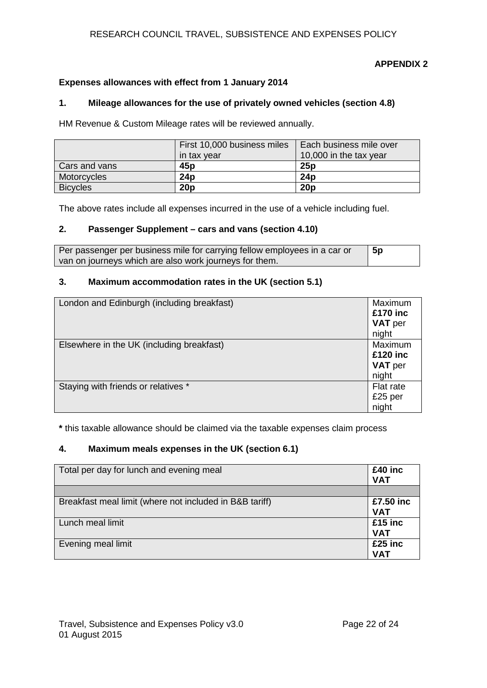## RESEARCH COUNCIL TRAVEL, SUBSISTENCE AND EXPENSES POLICY

## **APPENDIX 2**

## **Expenses allowances with effect from 1 January 2014**

## **1. Mileage allowances for the use of privately owned vehicles (section 4.8)**

HM Revenue & Custom Mileage rates will be reviewed annually.

|                 | First 10,000 business miles | Each business mile over |
|-----------------|-----------------------------|-------------------------|
|                 | in tax year                 | 10,000 in the tax year  |
| Cars and vans   | 45p                         | 25p                     |
| Motorcycles     | 24p                         | 24 <sub>D</sub>         |
| <b>Bicycles</b> | 20 <sub>p</sub>             | 20 <sub>p</sub>         |

The above rates include all expenses incurred in the use of a vehicle including fuel.

## **2. Passenger Supplement – cars and vans (section 4.10)**

| Per passenger per business mile for carrying fellow employees in a car or | <b>5p</b> |
|---------------------------------------------------------------------------|-----------|
| van on journeys which are also work journeys for them.                    |           |

#### **3. Maximum accommodation rates in the UK (section 5.1)**

| London and Edinburgh (including breakfast) | Maximum<br>£170 inc<br><b>VAT</b> per<br>night |
|--------------------------------------------|------------------------------------------------|
| Elsewhere in the UK (including breakfast)  | Maximum<br>£120 inc<br><b>VAT</b> per<br>night |
| Staying with friends or relatives *        | Flat rate<br>£25 per<br>night                  |

**\*** this taxable allowance should be claimed via the taxable expenses claim process

## **4. Maximum meals expenses in the UK (section 6.1)**

| Total per day for lunch and evening meal                |                         |
|---------------------------------------------------------|-------------------------|
|                                                         |                         |
| Breakfast meal limit (where not included in B&B tariff) | £7.50 inc<br><b>VAT</b> |
| Lunch meal limit                                        | $£15$ inc<br><b>VAT</b> |
| Evening meal limit                                      | $£25$ inc<br><b>VAT</b> |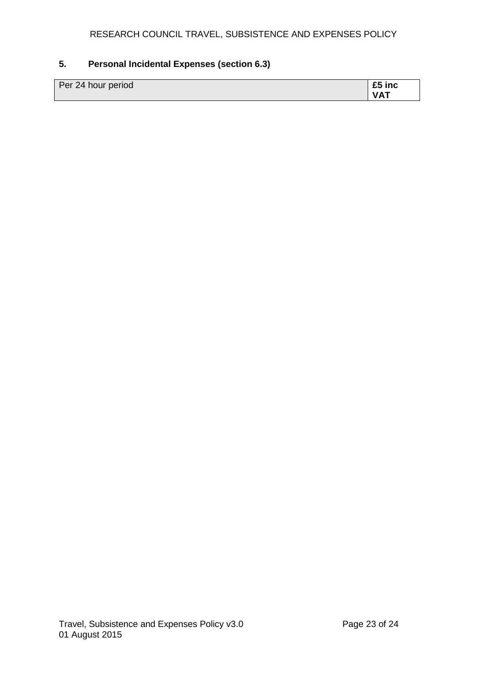# **5. Personal Incidental Expenses (section 6.3)**

| Per 24 hour period |            |
|--------------------|------------|
|                    | <b>VAT</b> |